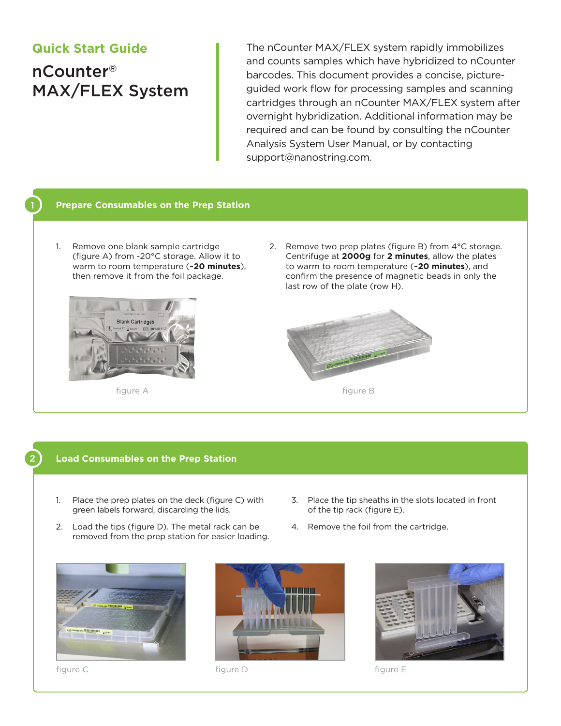# **Quick Start Guide**

nCounter® MAX/FLEX System

The nCounter MAX/FLEX system rapidly immobilizes and counts samples which have hybridized to nCounter barcodes. This document provides a concise, pictureguided work flow for processing samples and scanning cartridges through an nCounter MAX/FLEX system after overnight hybridization. Additional information may be required and can be found by consulting the nCounter Analysis System User Manual, or by contacting support@nanostring.com.

# **Prepare Consumables on the Prep Station**

1. Remove one blank sample cartridge (figure A) from -20°C storage. Allow it to warm to room temperature (**~20 minutes**), then remove it from the foil package.



2. Remove two prep plates (figure B) from 4°C storage. Centrifuge at **2000g** for **2 minutes**, allow the plates to warm to room temperature (**~20 minutes**), and confirm the presence of magnetic beads in only the last row of the plate (row H).



# **Load Consumables on the Prep Station**

- 1. Place the prep plates on the deck (figure C) with green labels forward, discarding the lids.
- 2. Load the tips (figure D). The metal rack can be removed from the prep station for easier loading.
- 4. Remove the foil from the cartridge.

of the tip rack (figure E).

3. Place the tip sheaths in the slots located in front







figure C figure D figure E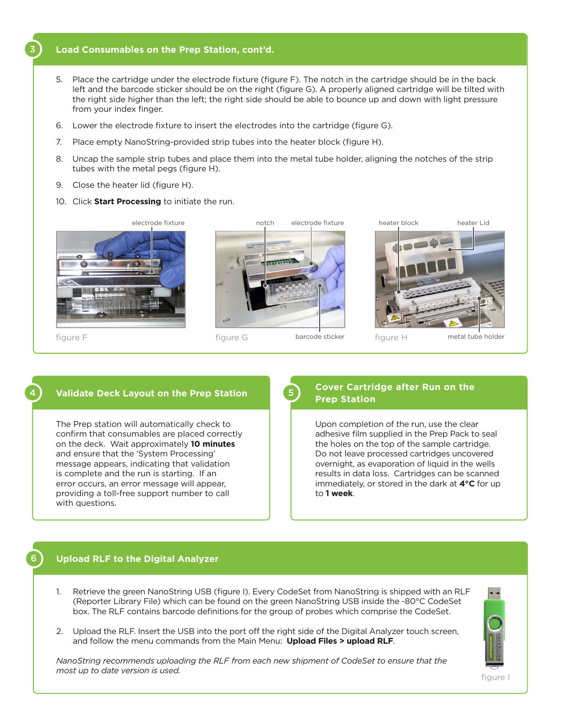#### **Load Consumables on the Prep Station, cont'd.**

- 5. Place the cartridge under the electrode fixture (figure F). The notch in the cartridge should be in the back left and the barcode sticker should be on the right (figure G). A properly aligned cartridge will be tilted with the right side higher than the left; the right side should be able to bounce up and down with light pressure from your index finger.
- 6. Lower the electrode fixture to insert the electrodes into the cartridge (figure G).
- 7. Place empty NanoString-provided strip tubes into the heater block (figure H).
- 8. Uncap the sample strip tubes and place them into the metal tube holder, aligning the notches of the strip tubes with the metal pegs (figure H).
- 9. Close the heater lid (figure H).
- 10. Click **Start Processing** to initiate the run.



## **Validate Deck Layout on the Prep Station**

The Prep station will automatically check to confirm that consumables are placed correctly on the deck. Wait approximately **10 minutes** and ensure that the 'System Processing' message appears, indicating that validation is complete and the run is starting. If an error occurs, an error message will appear, providing a toll-free support number to call with questions.

## **Cover Cartridge after Run on the Prep Station**

Upon completion of the run, use the clear adhesive film supplied in the Prep Pack to seal the holes on the top of the sample cartridge. Do not leave processed cartridges uncovered overnight, as evaporation of liquid in the wells results in data loss. Cartridges can be scanned immediately, or stored in the dark at **4°C** for up to **1 week**.

#### **Upload RLF to the Digital Analyzer**

6

- 1. Retrieve the green NanoString USB (figure I). Every CodeSet from NanoString is shipped with an RLF (Reporter Library File) which can be found on the green NanoString USB inside the -80°C CodeSet box. The RLF contains barcode definitions for the group of probes which comprise the CodeSet.
- 2. Upload the RLF. Insert the USB into the port off the right side of the Digital Analyzer touch screen, and follow the menu commands from the Main Menu: **Upload Files > upload RLF**.

*NanoString recommends uploading the RLF from each new shipment of CodeSet to ensure that the most up to date version is used.* 



figure I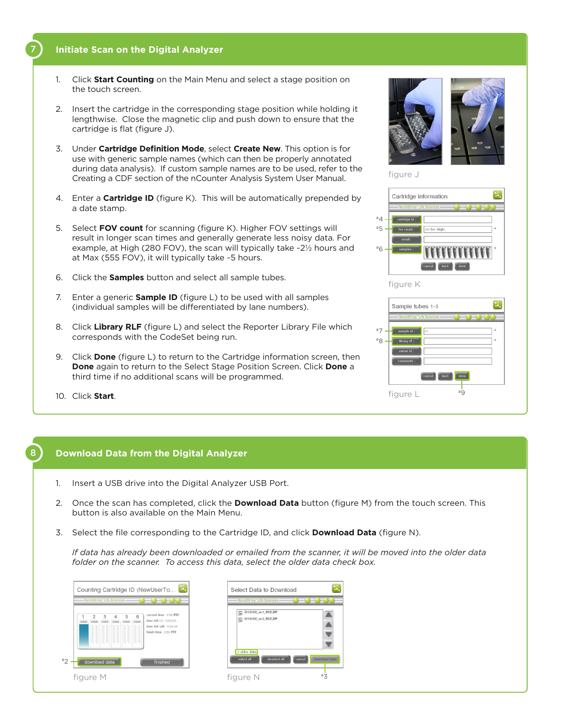## **Initiate Scan on the Digital Analyzer**

7

- 1. Click **Start Counting** on the Main Menu and select a stage position on the touch screen.
- 2. Insert the cartridge in the corresponding stage position while holding it lengthwise. Close the magnetic clip and push down to ensure that the cartridge is flat (figure J).
- 3. Under **Cartridge Definition Mode**, select **Create New**. This option is for use with generic sample names (which can then be properly annotated during data analysis). If custom sample names are to be used, refer to the Creating a CDF section of the nCounter Analysis System User Manual.
- 4. Enter a **Cartridge ID** (figure K). This will be automatically prepended by a date stamp.
- 5. Select **FOV count** for scanning (figure K). Higher FOV settings will result in longer scan times and generally generate less noisy data. For example, at High (280 FOV), the scan will typically take ~2½ hours and at Max (555 FOV), it will typically take ~5 hours.
- 6. Click the **Samples** button and select all sample tubes.
- 7. Enter a generic **Sample ID** (figure L) to be used with all samples (individual samples will be differentiated by lane numbers).
- 8. Click **Library RLF** (figure L) and select the Reporter Library File which corresponds with the CodeSet being run.
- 9. Click **Done** (figure L) to return to the Cartridge information screen, then **Done** again to return to the Select Stage Position Screen. Click **Done** a third time if no additional scans will be programmed.
- 10. Click **Start**.

### 8 **Download Data from the Digital Analyzer**

- 1. Insert a USB drive into the Digital Analyzer USB Port.
- 2. Once the scan has completed, click the **Download Data** button (figure M) from the touch screen. This button is also available on the Main Menu.
- 3. Select the file corresponding to the Cartridge ID, and click **Download Data** (figure N).

*If data has already been downloaded or emailed from the scanner, it will be moved into the older data folder on the scanner. To access this data, select the older data check box.* 

| 6<br><b>HARASSER</b>                                                                            | 5 | з | <b>MARCHER</b> |
|-------------------------------------------------------------------------------------------------|---|---|----------------|
| current time 2:35 PM<br>time left (1) 0:00:00<br>time left (all) 0:00:00<br>finish time 2:35 PM |   |   |                |





figure J



#### figure K